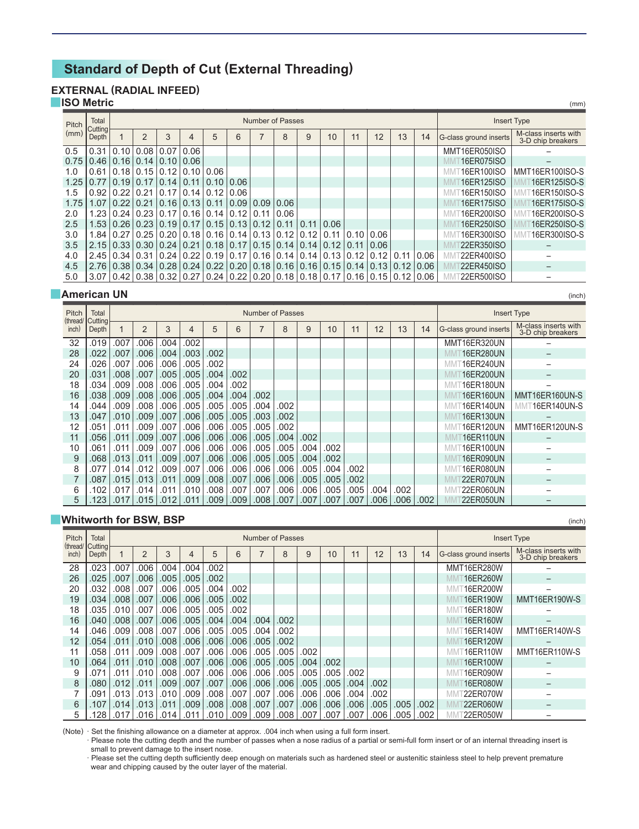# **Standard of Depth of Cut (External Threading)**

## **EXTERNAL (RADIAL INFEED)**

#### **ISO Metric**

| Pitch | Total                   |                          |                                    |                  |                                    |      |                                                                                       | <b>Number of Passes</b> |      |               |      |      |           |      |      | <b>Insert Type</b>     |                                           |
|-------|-------------------------|--------------------------|------------------------------------|------------------|------------------------------------|------|---------------------------------------------------------------------------------------|-------------------------|------|---------------|------|------|-----------|------|------|------------------------|-------------------------------------------|
| (mm)  | <b>Cutting</b><br>Depth |                          | $\overline{2}$                     | 3                | 4                                  | 5    | 6                                                                                     | ⇁                       | 8    | 9             | 10   | 11   | 12        | 13   | 14   | G-class ground inserts | M-class inserts with<br>3-D chip breakers |
| 0.5   |                         |                          | $0.31$   $0.10$   $0.08$           | 0.07             | 0.06                               |      |                                                                                       |                         |      |               |      |      |           |      |      | MMT16ER050ISO          |                                           |
| 0.75  |                         |                          | $0.46$   0.16   0.14               | $0.10$ 0.06      |                                    |      |                                                                                       |                         |      |               |      |      |           |      |      | 16ER075ISO             |                                           |
| 1.0   |                         |                          | $0.61$   0.18   0.15   0.12   0.10 |                  |                                    | 0.06 |                                                                                       |                         |      |               |      |      |           |      |      | 16ER100ISO             | MMT16ER100ISO-S                           |
| 1.25  | 0.7710.1910.1710.141    |                          |                                    |                  | 0.11                               | 0.10 | 0.06                                                                                  |                         |      |               |      |      |           |      |      | 16ER125ISO             | 16ER125ISO-S                              |
| 1.5   |                         | $0.92$   $0.22$   $0.21$ |                                    | $0.17 \mid 0.14$ |                                    | 0.12 | 0.06                                                                                  |                         |      |               |      |      |           |      |      | 16ER150ISO             | 16ER150ISO-S                              |
| 1.75  |                         | $1.07$ 0.22              | 0.21                               | $0.16$ 0.13      |                                    | 0.11 | 0.09                                                                                  | 0.09                    | 0.06 |               |      |      |           |      |      | 16ER175ISO             | 16ER175ISO-S                              |
| 2.0   |                         |                          |                                    |                  | 1.23   0.24   0.23   0.17   0.16   |      | 0.14 0.12                                                                             | 0.11                    | 0.06 |               |      |      |           |      |      | 16ER200ISO             | 16ER200ISO-S                              |
| 2.5   |                         |                          | $1.53$   0.26   0.23   0.19   0.17 |                  |                                    |      | $0.15$ 0.13 0.12                                                                      |                         | 0.11 | 0.11          | 0.06 |      |           |      |      | 16ER250ISO             | 16ER250ISO-S                              |
| 3.0   |                         |                          |                                    |                  | $1.84$   0.27   0.25   0.20   0.18 |      | $0.16$   $0.14$   $0.13$                                                              |                         | 0.12 | 0.12          | 0.11 | 0.10 | 0.06      |      |      | 16ER300ISO             | 16ER300ISO-S                              |
| 3.5   |                         |                          | $2.15$   0.33   0.30   0.24   0.21 |                  |                                    |      | $0.18$   0.17   0.15                                                                  |                         | 0.14 | 0.14          | 0.12 | 0.11 | 0.06      |      |      | 22ER350ISO             |                                           |
| 4.0   |                         | $2.45$   0.34   0.31     |                                    | 0.24             | 0.22                               |      | $0.19$   $0.17$                                                                       | 0.16                    | 0.14 | 0.14          | 0.13 | 0.12 | 0.12      | 0.11 | 0.06 | [22ER400ISO            |                                           |
| 4.5   |                         |                          | $2.76$   0.38   0.34   0.28   0.24 |                  |                                    | 0.22 | 0.20 0.18                                                                             |                         | 0.16 | $0.16$ $0.15$ |      | 0.14 | 0.13      | 0.12 | 0.06 | 22ER450ISO             |                                           |
| 5.0   |                         |                          |                                    |                  | $3.07$   0.42   0.38   0.32   0.27 |      | $\vert$ 0.24 $\vert$ 0.22 $\vert$ 0.20 $\vert$ 0.18 $\vert$ 0.18 $\vert$ 0.17 $\vert$ |                         |      |               |      |      | 0.16 0.15 | 0.12 | 0.06 | 22ER500ISO             |                                           |

(mm)

(inch)

(inch)

#### **American UN**

| Pitch             | Total            |          |                |      |      |      |      |      | <b>Number of Passes</b> |      |      |      |      |      |      |                        | <b>Insert Type</b>                        |
|-------------------|------------------|----------|----------------|------|------|------|------|------|-------------------------|------|------|------|------|------|------|------------------------|-------------------------------------------|
| (thread/<br>inch) | Cutting<br>Depth |          | $\overline{2}$ | 3    | 4    | 5    | 6    | 7    | 8                       | 9    | 10   | 11   | 12   | 13   | 14   | G-class ground inserts | M-class inserts with<br>3-D chip breakers |
| 32                | .019             | .007     | .006           | .004 | .002 |      |      |      |                         |      |      |      |      |      |      | MMT16ER320UN           |                                           |
| 28                | .022             | .007     | .006           | .004 | .003 | .002 |      |      |                         |      |      |      |      |      |      | 16ER280UN              |                                           |
| 24                | .026             | .007     | .006           | .006 | .005 | .002 |      |      |                         |      |      |      |      |      |      | 16ER240UN              |                                           |
| 20                | .031             | .008     | .007           | .005 | .005 | .004 | .002 |      |                         |      |      |      |      |      |      | 16ER200UN              |                                           |
| 18                | .034             | .009     | .008           | .006 | .005 | .004 | .002 |      |                         |      |      |      |      |      |      | 16ER180UN              |                                           |
| 16                | .038             | .009     | .008           | .006 | .005 | .004 | .004 | .002 |                         |      |      |      |      |      |      | 16ER160UN              | MMT16ER160UN-S                            |
| 14                | .044             | .009     | .008           | .006 | .005 | .005 | .005 | .004 | .002                    |      |      |      |      |      |      | <b>16ER140UN</b>       | 16ER140UN-S<br>МM                         |
| 13                | .047             | .010     | .009           | .007 | .006 | .005 | .005 | .003 | .002                    |      |      |      |      |      |      | T16ER130UN             |                                           |
| 12                | .051             | .011     | .009           | .007 | .006 | .006 | .005 | .005 | .002                    |      |      |      |      |      |      | T16ER120UN             | MMT16ER120UN-S                            |
| 11                | .056             | .011     | .009           | .007 | .006 | .006 | .006 | .005 | .004                    | .002 |      |      |      |      |      | 16ER110UN              |                                           |
| 10                | .061             | .011     | .009           | .007 | .006 | .006 | .006 | .005 | .005                    | .004 | .002 |      |      |      |      | ⊺16ER100UN             |                                           |
| 9                 | .068             | .013     | .011           | .009 | .007 | .006 | .006 | .005 | .005                    | .004 | .002 |      |      |      |      | 16ER090UN              |                                           |
| 8                 | .077             | .014     | .012           | .009 | .007 | .006 | .006 | .006 | .006                    | .005 | .004 | .002 |      |      |      | 16ER080UN              |                                           |
| 7                 | .087             | .015     | .013           | .011 | .009 | .008 | .007 | .006 | .006                    | .005 | .005 | .002 |      |      |      | <b>22ER070UN</b>       |                                           |
| 6                 | 102              | .017     | .014           | .011 | .010 | .008 | .007 | .007 | .006                    | .006 | .005 | .005 | .004 | 002  |      | <b>722ER060UN</b>      |                                           |
| 5                 |                  | 1231.017 | .015           | .012 | .011 | .009 | .009 | .008 | .007                    | .007 | .007 | .007 | .006 | .006 | .002 | 22ER050UN              |                                           |

## **Whitworth for BSW, BSP**

| Pitch             | Total            |      |                |      |      |      |      |                | <b>Number of Passes</b> |      |      |      |      |      |      | <b>Insert Type</b>     |                                           |
|-------------------|------------------|------|----------------|------|------|------|------|----------------|-------------------------|------|------|------|------|------|------|------------------------|-------------------------------------------|
| (thread/<br>inch) | Cutting<br>Depth |      | $\overline{2}$ | 3    | 4    | 5    | 6    | $\overline{7}$ | 8                       | 9    | 10   | 11   | 12   | 13   | 14   | G-class ground inserts | M-class inserts with<br>3-D chip breakers |
| 28                | .023             | .007 | .006           | .004 | .004 | .002 |      |                |                         |      |      |      |      |      |      | MMT16ER280W            |                                           |
| 26                | .025             | .007 | .006           | .005 | .005 | .002 |      |                |                         |      |      |      |      |      |      | 16ER260W               | $\overline{\phantom{0}}$                  |
| 20                | .032             | .008 | .007           | .006 | .005 | .004 | .002 |                |                         |      |      |      |      |      |      | 16ER200W<br>МM         | -                                         |
| 19                | .034             | .008 | .007           | .006 | .006 | .005 | .002 |                |                         |      |      |      |      |      |      | 16ER190W               | MMT16ER190W-S                             |
| 18                | .035             | .010 | .007           | .006 | .005 | .005 | .002 |                |                         |      |      |      |      |      |      | 16ER180W<br>МM         |                                           |
| 16                | 040              | .008 | .007           | .006 | .005 | .004 | .004 | .004           | .002                    |      |      |      |      |      |      | 16ER160W               |                                           |
| 14                | 046              | .009 | .008           | .007 | .006 | .005 | .005 | .004           | .002                    |      |      |      |      |      |      | 16ER140W<br>МM         | MMT16ER140W-S                             |
| 12                | .054             | .011 | .010           | .008 | .006 | .006 | .006 | .005           | .002                    |      |      |      |      |      |      | 16ER120W               |                                           |
| 11                | 058              | .011 | .009           | .008 | .007 | .006 | .006 | .005           | .005                    | .002 |      |      |      |      |      | 16ER110W               | MMT16ER110W-S                             |
| 10                | 064              | .011 | .010           | .008 | .007 | .006 | .006 | .005           | .005                    | .004 | .002 |      |      |      |      | 16ER100W               |                                           |
| 9                 | 071              | .011 | .010           | .008 | .007 | .006 | .006 | .006           | .005                    | .005 | .005 | .002 |      |      |      | 16ER090W               |                                           |
| 8                 | .080             | .012 | .011           | .009 | .007 | .007 | .006 | .006           | .006                    | .005 | .005 | .004 | .002 |      |      | 16ER080W               | $\overline{\phantom{0}}$                  |
| 7                 | .091             | .013 | .013           | .010 | .009 | .008 | .007 | .007           | .006                    | .006 | .006 | .004 | .002 |      |      | 22ER070W               |                                           |
| 6                 | 107              | .014 | .013           | .011 | .009 | .008 | .008 | .007           | .007                    | .006 | .006 | .006 | .005 | .005 | .002 | 22ER060W               | -                                         |
| 5                 | 128              | .017 | .016           | .014 | .011 | .010 | .009 | .009           | .008                    | .007 | .007 | .007 | .006 | .005 | .002 | 22ER050W               |                                           |

(Note) · Set the finishing allowance on a diameter at approx. .004 inch when using a full form insert.

· Please note the cutting depth and the number of passes when a nose radius of a partial or semi-full form insert or of an internal threading insert is small to prevent damage to the insert nose.

· Please set the cutting depth sufficiently deep enough on materials such as hardened steel or austenitic stainless steel to help prevent premature wear and chipping caused by the outer layer of the material.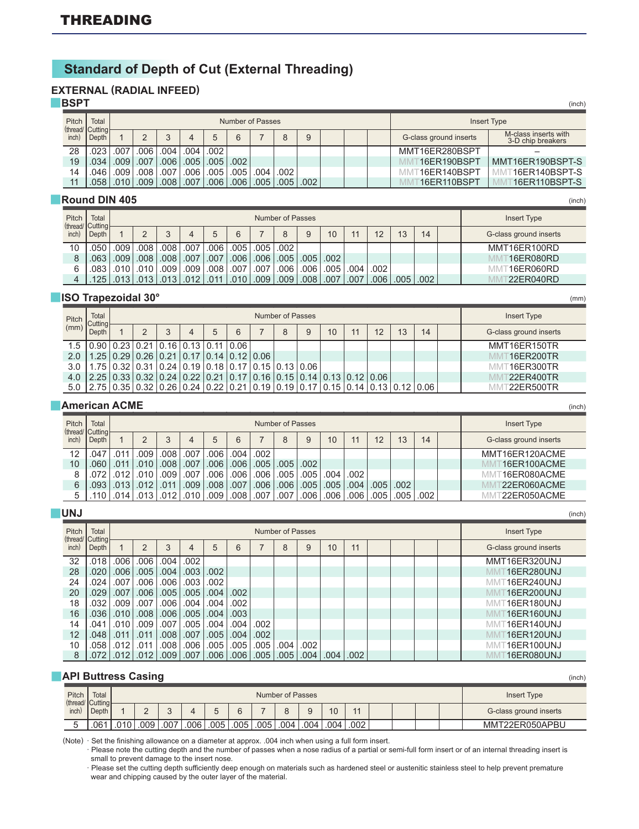## **Standard of Depth of Cut (External Threading)**

## **EXTERNAL (RADIAL INFEED)**

**BSPT** 

| Pitch | Total                        |             |                   |                   |      |      |             | Number of Passes |      |      |  |                                         | Insert Type                               |
|-------|------------------------------|-------------|-------------------|-------------------|------|------|-------------|------------------|------|------|--|-----------------------------------------|-------------------------------------------|
| inch) | (thread/ Cutting  -<br>Depth |             |                   |                   |      |      | 6           |                  | 8    | 9    |  | G-class ground inserts                  | M-class inserts with<br>3-D chip breakers |
| 28    | .023 l                       | .007        | .006              | .004              | .004 | .002 |             |                  |      |      |  | MMT16ER280BSPT                          |                                           |
| 19    | $.034$ $\overline{ }$        | .009        | .007              | .006              | .005 |      | $.005$ .002 |                  |      |      |  | 16ER190BSPT                             | MMT16ER190BSPT-S                          |
| 14    | .046 I                       | .009        | .008 <sup>1</sup> | .007              | .006 | .005 | .005        | .004             | .002 |      |  | $^{\scriptscriptstyle\top}$ 16ER140BSPT | 16ER140BSPT-S                             |
|       |                              | .058   .010 | .009 <sub>1</sub> | .008 <sub>1</sub> | .007 | .006 | .006        | .005             | .005 | .002 |  | 16ER110BSPT                             | 16ER110BSPT-S                             |

#### **Round DIN 405**

| Pitch | Total<br>(thread/ Cutting } |                     |                   |      |                   |                   |           |                    | Number of Passes  |               |      |      |                   |      |      | Insert Type            |
|-------|-----------------------------|---------------------|-------------------|------|-------------------|-------------------|-----------|--------------------|-------------------|---------------|------|------|-------------------|------|------|------------------------|
| inch) | Depth                       |                     |                   |      |                   |                   |           |                    |                   | 9             | 10   |      | 12                | 13   | 14   | G-class ground inserts |
| 10    | .050                        | .009 <sub>1</sub>   | .008 <sub>1</sub> | .008 | .007              | 006.              | .005      | $\vert .005 \vert$ | .002              |               |      |      |                   |      |      | MMT16ER100RD           |
|       |                             | $.063$ $.009$ $ $   | .008 <sub>1</sub> |      | $.008$ $.007$     | .007              | .006 .006 |                    | .005              | $.005$ $.002$ |      |      |                   |      |      | 16ER080RD              |
|       |                             | $.083$ $.010$ $\pm$ | .010              | .009 | .009 <sub>1</sub> | .008 <sub>1</sub> | .007      | .007               | .006              | .006          | .005 | .004 | .002              |      |      | 16ER060RD              |
|       |                             | .125   .013   .013  |                   | .013 | .012              | .011              | .010      | .009               | .009 <sub>1</sub> | .008          | .007 | .007 | .006 <sup>1</sup> | .005 | .002 | 22ER040RD              |

(mm)

(inch)

(inch)

(inch)

## ■ **ISO Trapezoidal 30°**

| Pitch | Total<br>Cutting                                                                                               |  |   |   | Number of Passes |   |    |    |    |    |    | <b>Insert Type</b>     |
|-------|----------------------------------------------------------------------------------------------------------------|--|---|---|------------------|---|----|----|----|----|----|------------------------|
| (mm)  |                                                                                                                |  | 4 | 6 |                  | 9 | 10 | 11 | 12 | 13 | 14 | G-class ground inserts |
|       | $1.5$   0.90   0.23   0.21   0.16   0.13   0.11   0.06                                                         |  |   |   |                  |   |    |    |    |    |    | MMT16ER150TR           |
| 2.0   | $1.25$   0.29   0.26   0.21   0.17   0.14   0.12   0.06                                                        |  |   |   |                  |   |    |    |    |    |    | 16ER200TR              |
|       | $3.0$   1.75   0.32   0.31   0.24   0.19   0.18   0.17   0.15   0.13   0.06                                    |  |   |   |                  |   |    |    |    |    |    | 16ER300TR              |
|       | $4.0$   2.25   0.33   0.32   0.24   0.22   0.21   0.17   0.16   0.15   0.14   0.13   0.12   0.06               |  |   |   |                  |   |    |    |    |    |    | 22ER400TR              |
|       | $5.0$   2.75   0.35   0.32   0.26   0.24   0.22   0.21   0.19   0.19   0.17   0.15   0.14   0.13   0.12   0.06 |  |   |   |                  |   |    |    |    |    |    | 22ER500TR              |

#### **American ACME**

| Pitch | Total<br>(thread/ Cutting- |      |      |      |      |              |      |      | Number of Passes |      |                 |      |      |      |      | <b>Insert Type</b>     |
|-------|----------------------------|------|------|------|------|--------------|------|------|------------------|------|-----------------|------|------|------|------|------------------------|
| inch) | Depth                      |      |      |      | Δ    | $\mathbf{b}$ | 6    |      | 8                |      | 10 <sup>°</sup> | 11   | 12   | 13   | 14   | G-class ground inserts |
| 12    | 047                        | .011 | .009 | .008 | .007 | .006         | .004 | .002 |                  |      |                 |      |      |      |      | MMT16ER120ACME         |
| 10    | .060                       | .011 | .010 | .008 | .007 | .006         | .006 | .005 | .005             | .002 |                 |      |      |      |      | 16ER100ACME            |
|       |                            |      | .010 | .009 | .007 | .006         | .006 | .006 | .005             | .005 | .004            | .002 |      |      |      | 16ER080ACME            |
| 6     | .093                       | .013 | .012 |      | .009 | .008         | .007 | .006 | .006             | .005 | .005            | .004 | .005 | .002 |      | 22ER060ACME            |
|       |                            | .014 |      |      | .010 | .009         | .008 | .007 | .007             | .006 | .006            | .006 | 005  | 005  | .002 | 22ER050ACME            |

| <b>UNJ</b> |                           |      |      |      |      |      |      |      |                  |      |      |      |  |  | (inch)                 |
|------------|---------------------------|------|------|------|------|------|------|------|------------------|------|------|------|--|--|------------------------|
| Pitch      | Total<br>(thread/ Cutting |      |      |      |      |      |      |      | Number of Passes |      |      |      |  |  | <b>Insert Type</b>     |
| inch)      | Depth                     |      | 2    | 3    | 4    | 5    | 6    |      | 8                | 9    | 10   | 11   |  |  | G-class ground inserts |
| 32         | .018                      | .006 | .006 | .004 | .002 |      |      |      |                  |      |      |      |  |  | MMT16ER320UNJ          |
| 28         | .020                      | .006 | .005 | .004 | .003 | .002 |      |      |                  |      |      |      |  |  | <b>T16ER280UNJ</b>     |
| 24         | .024                      | .007 | .006 | .006 | .003 | .002 |      |      |                  |      |      |      |  |  | 16ER240UNJ             |
| 20         | .029                      | .007 | .006 | .005 | .005 | .004 | .002 |      |                  |      |      |      |  |  | [16ER200UNJ            |
| 18         | .032                      | .009 | .007 | .006 | .004 | .004 | .002 |      |                  |      |      |      |  |  | 16ER180UNJ             |
| 16         | .036                      | .010 | .008 | .006 | .005 | .004 | .003 |      |                  |      |      |      |  |  | 16ER160UNJ             |
| 14         | .041                      | .010 | .009 | .007 | .005 | .004 | .004 | .002 |                  |      |      |      |  |  | 16ER140UNJ             |
| 12         | .048                      | .011 | .011 | .008 | .007 | .005 | .004 | .002 |                  |      |      |      |  |  | 16ER120UNJ             |
| 10         | .058                      | .012 | .011 | .008 | .006 | .005 | .005 | .005 | .004             | .002 |      |      |  |  | 16ER100UNJ             |
| 8          | .072                      | .012 | .012 | .009 | .007 | .006 | .006 | .005 | .005             | .004 | .004 | .002 |  |  | 16ER080UNJ             |

|       |                           |     | <b>API Buttress Casing</b> |      |      |      |      |      |                  |      |      |      |  |  | (inch)                 |
|-------|---------------------------|-----|----------------------------|------|------|------|------|------|------------------|------|------|------|--|--|------------------------|
| Pitch | Total<br>(thread/ Cutting |     |                            |      |      |      |      |      | Number of Passes |      |      |      |  |  | Insert Type            |
| inch) | Depth                     |     |                            |      |      |      | 6    |      |                  |      | 10   |      |  |  | G-class ground inserts |
| h     | .06 <sup>4</sup>          | 010 | .009                       | .007 | .006 | .005 | .005 | .005 | .004             | .004 | .004 | .002 |  |  | MMT22ER050APBU         |

(Note) · Set the finishing allowance on a diameter at approx. .004 inch when using a full form insert.

· Please note the cutting depth and the number of passes when a nose radius of a partial or semi-full form insert or of an internal threading insert is small to prevent damage to the insert nose.

· Please set the cutting depth sufficiently deep enough on materials such as hardened steel or austenitic stainless steel to help prevent premature wear and chipping caused by the outer layer of the material.